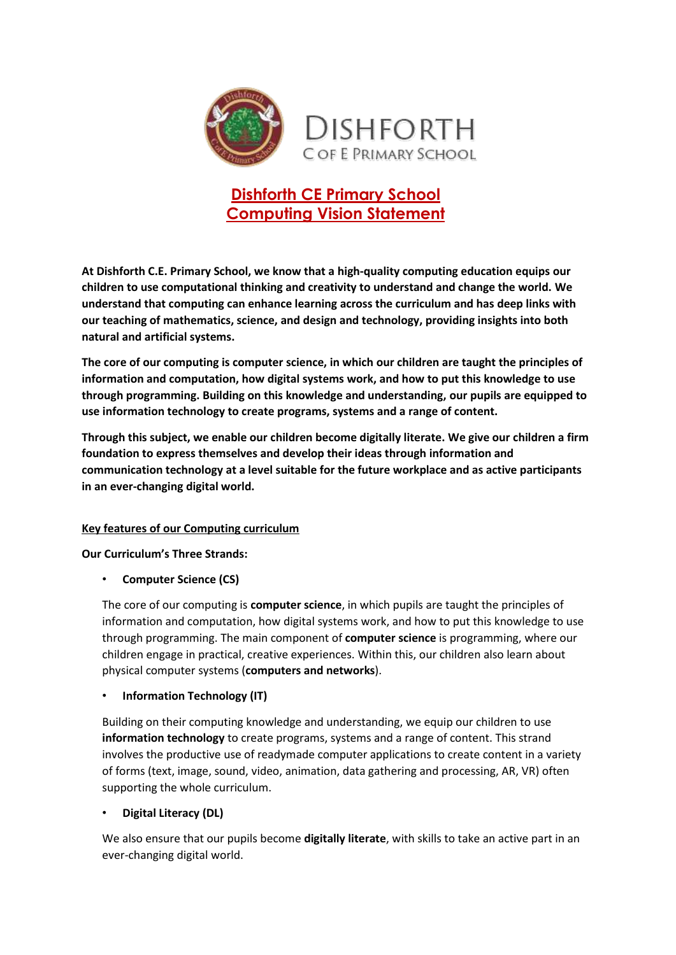

# **Dishforth CE Primary School Computing Vision Statement**

**At Dishforth C.E. Primary School, we know that a high-quality computing education equips our children to use computational thinking and creativity to understand and change the world. We understand that computing can enhance learning across the curriculum and has deep links with our teaching of mathematics, science, and design and technology, providing insights into both natural and artificial systems.** 

**The core of our computing is computer science, in which our children are taught the principles of information and computation, how digital systems work, and how to put this knowledge to use through programming. Building on this knowledge and understanding, our pupils are equipped to use information technology to create programs, systems and a range of content.** 

**Through this subject, we enable our children become digitally literate. We give our children a firm foundation to express themselves and develop their ideas through information and communication technology at a level suitable for the future workplace and as active participants in an ever-changing digital world.**

# **Key features of our Computing curriculum**

**Our Curriculum's Three Strands:**

• **Computer Science (CS)**

The core of our computing is **computer science**, in which pupils are taught the principles of information and computation, how digital systems work, and how to put this knowledge to use through programming. The main component of **computer science** is programming, where our children engage in practical, creative experiences. Within this, our children also learn about physical computer systems (**computers and networks**).

# • **Information Technology (IT)**

Building on their computing knowledge and understanding, we equip our children to use **information technology** to create programs, systems and a range of content. This strand involves the productive use of readymade computer applications to create content in a variety of forms (text, image, sound, video, animation, data gathering and processing, AR, VR) often supporting the whole curriculum.

# • **Digital Literacy (DL)**

We also ensure that our pupils become **digitally literate**, with skills to take an active part in an ever-changing digital world.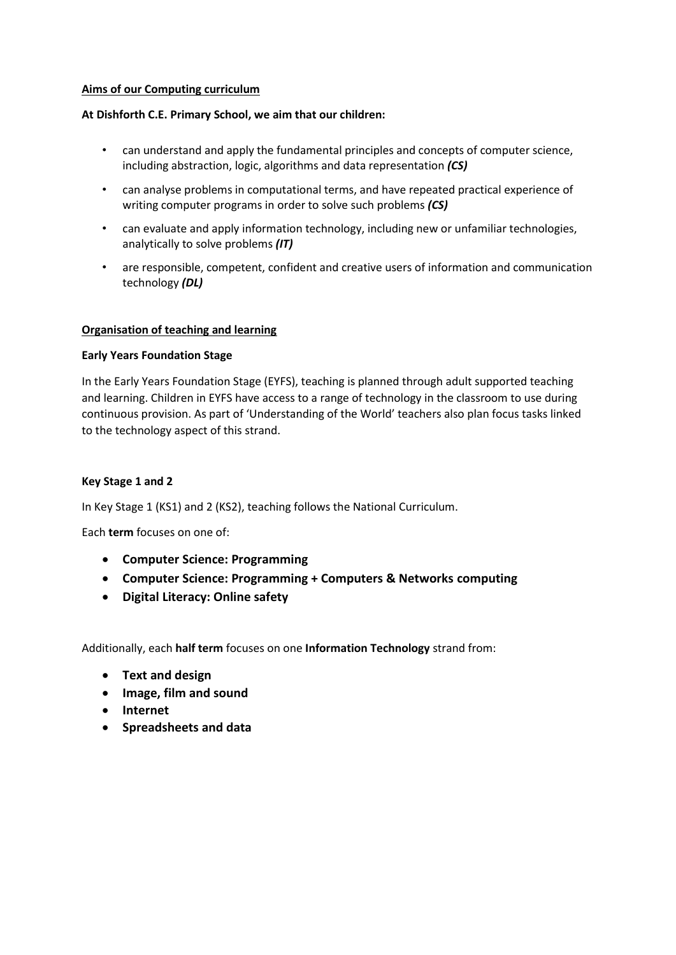#### **Aims of our Computing curriculum**

#### **At Dishforth C.E. Primary School, we aim that our children:**

- can understand and apply the fundamental principles and concepts of computer science, including abstraction, logic, algorithms and data representation *(CS)*
- can analyse problems in computational terms, and have repeated practical experience of writing computer programs in order to solve such problems *(CS)*
- can evaluate and apply information technology, including new or unfamiliar technologies, analytically to solve problems *(IT)*
- are responsible, competent, confident and creative users of information and communication technology *(DL)*

#### **Organisation of teaching and learning**

#### **Early Years Foundation Stage**

In the Early Years Foundation Stage (EYFS), teaching is planned through adult supported teaching and learning. Children in EYFS have access to a range of technology in the classroom to use during continuous provision. As part of 'Understanding of the World' teachers also plan focus tasks linked to the technology aspect of this strand.

#### **Key Stage 1 and 2**

In Key Stage 1 (KS1) and 2 (KS2), teaching follows the National Curriculum.

Each **term** focuses on one of:

- **Computer Science: Programming**
- **Computer Science: Programming + Computers & Networks computing**
- **Digital Literacy: Online safety**

Additionally, each **half term** focuses on one **Information Technology** strand from:

- **Text and design**
- **Image, film and sound**
- **Internet**
- **Spreadsheets and data**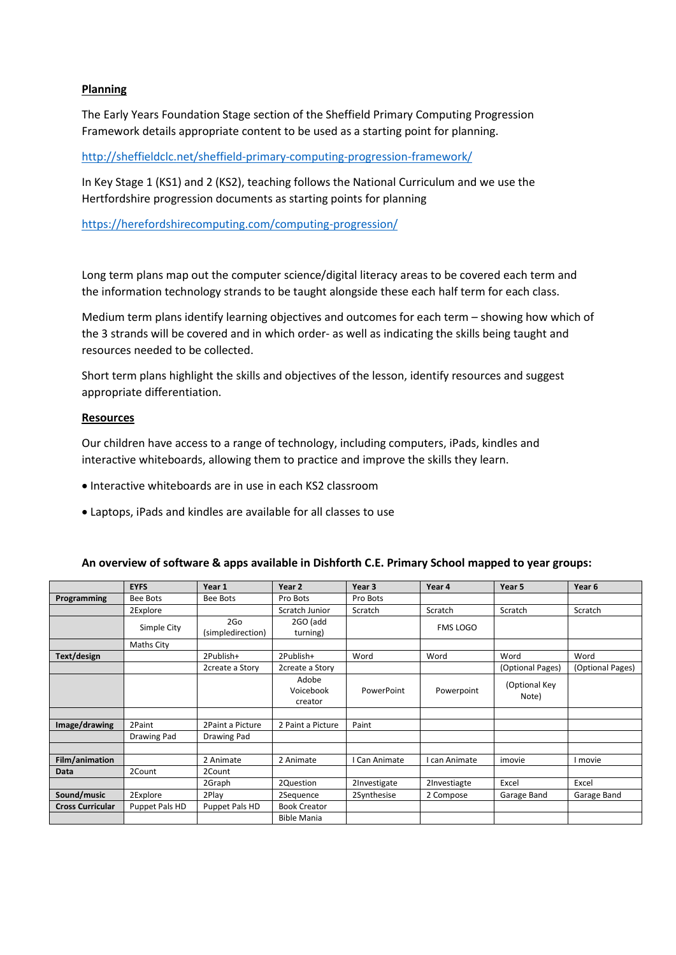## **Planning**

The Early Years Foundation Stage section of the Sheffield Primary Computing Progression Framework details appropriate content to be used as a starting point for planning.

<http://sheffieldclc.net/sheffield-primary-computing-progression-framework/>

In Key Stage 1 (KS1) and 2 (KS2), teaching follows the National Curriculum and we use the Hertfordshire progression documents as starting points for planning

<https://herefordshirecomputing.com/computing-progression/>

Long term plans map out the computer science/digital literacy areas to be covered each term and the information technology strands to be taught alongside these each half term for each class.

Medium term plans identify learning objectives and outcomes for each term – showing how which of the 3 strands will be covered and in which order- as well as indicating the skills being taught and resources needed to be collected.

Short term plans highlight the skills and objectives of the lesson, identify resources and suggest appropriate differentiation.

#### **Resources**

Our children have access to a range of technology, including computers, iPads, kindles and interactive whiteboards, allowing them to practice and improve the skills they learn.

- Interactive whiteboards are in use in each KS2 classroom
- Laptops, iPads and kindles are available for all classes to use

#### **An overview of software & apps available in Dishforth C.E. Primary School mapped to year groups:**

|                         | <b>EYFS</b>     | Year 1                   | Year 2                        | Year <sub>3</sub> | Year 4        | Year 5                 | Year 6           |
|-------------------------|-----------------|--------------------------|-------------------------------|-------------------|---------------|------------------------|------------------|
| Programming             | <b>Bee Bots</b> | Bee Bots                 | Pro Bots                      | Pro Bots          |               |                        |                  |
|                         | 2Explore        |                          | Scratch Junior                | Scratch           | Scratch       | Scratch                | Scratch          |
|                         | Simple City     | 2Go<br>(simpledirection) | 2GO (add<br>turning)          |                   | FMS LOGO      |                        |                  |
|                         | Maths City      |                          |                               |                   |               |                        |                  |
| Text/design             |                 | 2Publish+                | 2Publish+                     | Word              | Word          | Word                   | Word             |
|                         |                 | 2create a Story          | 2create a Story               |                   |               | (Optional Pages)       | (Optional Pages) |
|                         |                 |                          | Adobe<br>Voicebook<br>creator | PowerPoint        | Powerpoint    | (Optional Key<br>Note) |                  |
|                         |                 |                          |                               |                   |               |                        |                  |
| Image/drawing           | 2Paint          | 2Paint a Picture         | 2 Paint a Picture             | Paint             |               |                        |                  |
|                         | Drawing Pad     | Drawing Pad              |                               |                   |               |                        |                  |
|                         |                 |                          |                               |                   |               |                        |                  |
| Film/animation          |                 | 2 Animate                | 2 Animate                     | I Can Animate     | I can Animate | imovie                 | I movie          |
| Data                    | 2Count          | 2Count                   |                               |                   |               |                        |                  |
|                         |                 | 2Graph                   | 2Question                     | 2Investigate      | 2Investiagte  | Excel                  | Excel            |
| Sound/music             | 2Explore        | 2Play                    | 2Sequence                     | 2Synthesise       | 2 Compose     | Garage Band            | Garage Band      |
| <b>Cross Curricular</b> | Puppet Pals HD  | Puppet Pals HD           | <b>Book Creator</b>           |                   |               |                        |                  |
|                         |                 |                          | <b>Bible Mania</b>            |                   |               |                        |                  |